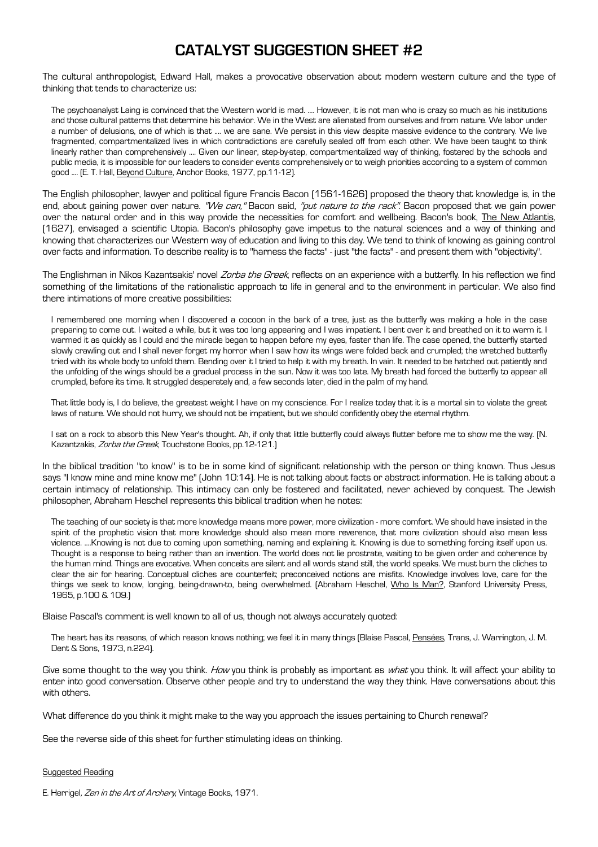# **CATALYST SUGGESTION SHEET #2**

The cultural anthropologist, Edward Hall, makes a provocative observation about modern western culture and the type of thinking that tends to characterize us:

The psychoanalyst Laing is convinced that the Western world is mad. .... However, it is not man who is crazy so much as his institutions and those cultural patterns that determine his behavior. We in the West are alienated from ourselves and from nature. We labor under a number of delusions, one of which is that .... we are sane. We persist in this view despite massive evidence to the contrary. We live fragmented, compartmentalized lives in which contradictions are carefully sealed off from each other. We have been taught to think linearly rather than comprehensively .... Given our linear, step-by-step, compartmentalized way of thinking, fostered by the schools and public media, it is impossible for our leaders to consider events comprehensively or to weigh priorities according to a system of common good .... (E. T. Hall, Beyond Culture, Anchor Books, 1977, pp.11-12).

The English philosopher, lawyer and political figure Francis Bacon (1561-1626) proposed the theory that knowledge is, in the end, about gaining power over nature. "We can," Bacon said, "put nature to the rack". Bacon proposed that we gain power over the natural order and in this way provide the necessities for comfort and wellbeing. Bacon's book, The New Atlantis, (1627), envisaged a scientific Utopia. Bacon's philosophy gave impetus to the natural sciences and a way of thinking and knowing that characterizes our Western way of education and living to this day. We tend to think of knowing as gaining control over facts and information. To describe reality is to "harness the facts" - just "the facts" - and present them with "objectivity".

The Englishman in Nikos Kazantsakis' novel Zorba the Greek, reflects on an experience with a butterfly. In his reflection we find something of the limitations of the rationalistic approach to life in general and to the environment in particular. We also find there intimations of more creative possibilities:

I remembered one morning when I discovered a cocoon in the bark of a tree, just as the butterfly was making a hole in the case preparing to come out. I waited a while, but it was too long appearing and I was impatient. I bent over it and breathed on it to warm it. I warmed it as quickly as I could and the miracle began to happen before my eyes, faster than life. The case opened, the butterfly started slowly crawling out and I shall never forget my horror when I saw how its wings were folded back and crumpled; the wretched butterfly tried with its whole body to unfold them. Bending over it I tried to help it with my breath. In vain. It needed to be hatched out patiently and the unfolding of the wings should be a gradual process in the sun. Now it was too late. My breath had forced the butterfly to appear all crumpled, before its time. It struggled desperately and, a few seconds later, died in the palm of my hand.

That little body is, I do believe, the greatest weight I have on my conscience. For I realize today that it is a mortal sin to violate the great laws of nature. We should not hurry, we should not be impatient, but we should confidently obey the eternal rhythm.

I sat on a rock to absorb this New Year's thought. Ah, if only that little butterfly could always flutter before me to show me the way. [N. Kazantzakis, Zorba the Greek, Touchstone Books, pp.12-121.]

In the biblical tradition "to know" is to be in some kind of significant relationship with the person or thing known. Thus Jesus says "I know mine and mine know me" (John 10:14). He is not talking about facts or abstract information. He is talking about a certain intimacy of relationship. This intimacy can only be fostered and facilitated, never achieved by conquest. The Jewish philosopher, Abraham Heschel represents this biblical tradition when he notes:

The teaching of our society is that more knowledge means more power, more civilization - more comfort. We should have insisted in the spirit of the prophetic vision that more knowledge should also mean more reverence, that more civilization should also mean less violence. ....Knowing is not due to coming upon something, naming and explaining it. Knowing is due to something forcing itself upon us. Thought is a response to being rather than an invention. The world does not lie prostrate, waiting to be given order and coherence by the human mind. Things are evocative. When conceits are silent and all words stand still, the world speaks. We must burn the cliches to clear the air for hearing. Conceptual cliches are counterfeit; preconceived notions are misfits. Knowledge involves love, care for the things we seek to know, longing, being-drawn-to, being overwhelmed. [Abraham Heschel, Who Is Man?, Stanford University Press, 1965, p.100 & 109.)

Blaise Pascal's comment is well known to all of us, though not always accurately quoted:

The heart has its reasons, of which reason knows nothing; we feel it in many things (Blaise Pascal, <u>Pensées</u>, Trans, J. Warrington, J. M. Dent & Sons, 1973, n.224).

Give some thought to the way you think. How you think is probably as important as what you think. It will affect your ability to enter into good conversation. Observe other people and try to understand the way they think. Have conversations about this with others.

What difference do you think it might make to the way you approach the issues pertaining to Church renewal?

See the reverse side of this sheet for further stimulating ideas on thinking.

### Suggested Reading

E. Herrigel, Zen in the Art of Archery, Vintage Books, 1971.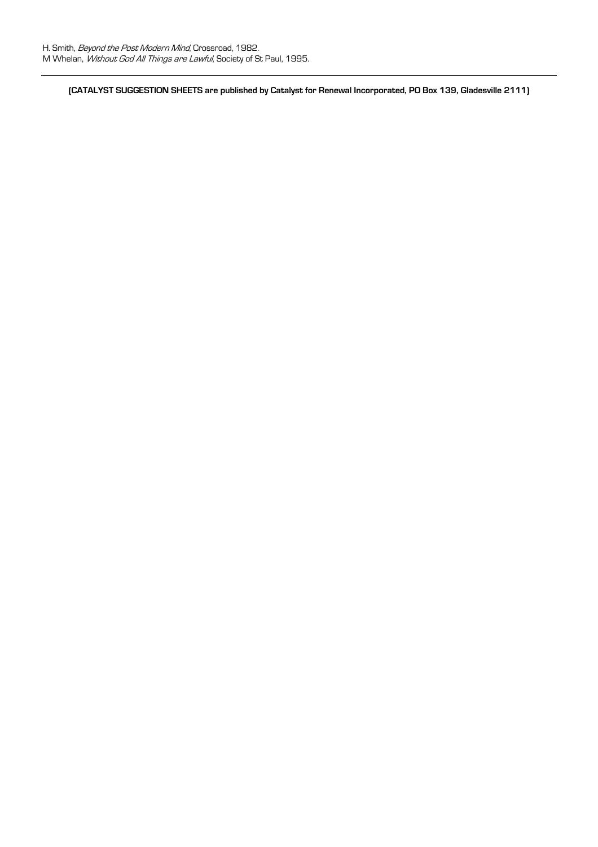**(CATALYST SUGGESTION SHEETS are published by Catalyst for Renewal Incorporated, PO Box 139, Gladesville 2111)**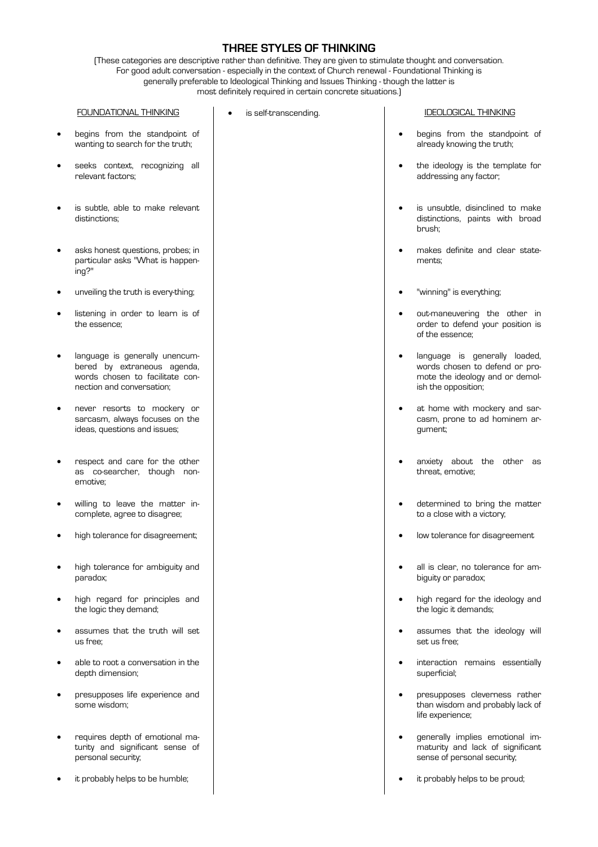## **THREE STYLES OF THINKING**

(These categories are descriptive rather than definitive. They are given to stimulate thought and conversation. For good adult conversation - especially in the context of Church renewal - Foundational Thinking is generally preferable to Ideological Thinking and Issues Thinking - though the latter is most definitely required in certain concrete situations.)

#### FOUNDATIONAL THINKING

- 
- is self-transcending. The Contract of the IDEOLOGICAL THINKING
- begins from the standpoint of wanting to search for the truth;
- seeks context, recognizing all relevant factors;
- is subtle, able to make relevant distinctions;
- asks honest questions, probes; in particular asks "What is happening?"
- unveiling the truth is every-thing;
- listening in order to learn is of the essence;
- language is generally unencumbered by extraneous agenda, words chosen to facilitate connection and conversation;
- never resorts to mockery or sarcasm, always focuses on the ideas, questions and issues;
- respect and care for the other as co-searcher, though nonemotive;
- willing to leave the matter incomplete, agree to disagree;
- high tolerance for disagreement;
- high tolerance for ambiguity and paradox;
- high regard for principles and the logic they demand;
- assumes that the truth will set us free;
- able to root a conversation in the depth dimension;
- presupposes life experience and some wisdom;
- requires depth of emotional maturity and significant sense of personal security;
- it probably helps to be humble;
- 
- begins from the standpoint of already knowing the truth;
- the ideology is the template for addressing any factor;
- is unsubtle, disinclined to make distinctions, paints with broad brush;
- makes definite and clear statements;
- "winning" is everything;
- out-maneuvering the other in order to defend your position is of the essence;
- language is generally loaded, words chosen to defend or promote the ideology and or demolish the opposition;
- at home with mockery and sarcasm, prone to ad hominem argument;
- anxiety about the other as threat, emotive;
- determined to bring the matter to a close with a victory;
- low tolerance for disagreement
- all is clear, no tolerance for ambiguity or paradox;
- high regard for the ideology and the logic it demands;
- assumes that the ideology will set us free;
- interaction remains essentially superficial;
- presupposes cleverness rather than wisdom and probably lack of life experience;
- generally implies emotional immaturity and lack of significant sense of personal security;
- it probably helps to be proud;